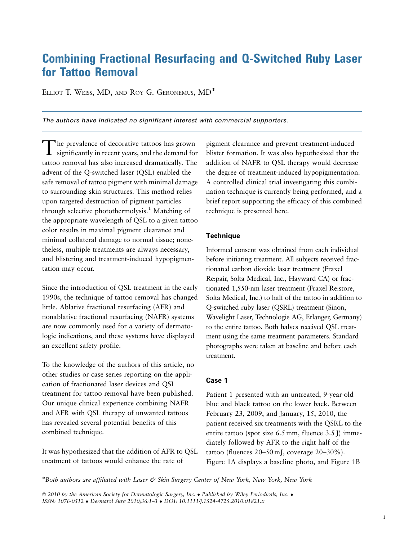# Combining Fractional Resurfacing and Q-Switched Ruby Laser for Tattoo Removal

ELLIOT T. WEISS, MD, AND ROY G. GERONEMUS, MD<sup>\*</sup>

*The authors have indicated no significant interest with commercial supporters*.

The prevalence of decorative tattoos has grown significantly in recent years, and the demand for tattoo removal has also increased dramatically. The advent of the Q-switched laser (QSL) enabled the safe removal of tattoo pigment with minimal damage to surrounding skin structures. This method relies upon targeted destruction of pigment particles through selective photothermolysis.<sup>1</sup> Matching of the appropriate wavelength of QSL to a given tattoo color results in maximal pigment clearance and minimal collateral damage to normal tissue; nonetheless, multiple treatments are always necessary, and blistering and treatment-induced hypopigmentation may occur.

Since the introduction of QSL treatment in the early 1990s, the technique of tattoo removal has changed little. Ablative fractional resurfacing (AFR) and nonablative fractional resurfacing (NAFR) systems are now commonly used for a variety of dermatologic indications, and these systems have displayed an excellent safety profile.

To the knowledge of the authors of this article, no other studies or case series reporting on the application of fractionated laser devices and QSL treatment for tattoo removal have been published. Our unique clinical experience combining NAFR and AFR with QSL therapy of unwanted tattoos has revealed several potential benefits of this combined technique.

It was hypothesized that the addition of AFR to QSL treatment of tattoos would enhance the rate of

pigment clearance and prevent treatment-induced blister formation. It was also hypothesized that the addition of NAFR to QSL therapy would decrease the degree of treatment-induced hypopigmentation. A controlled clinical trial investigating this combination technique is currently being performed, and a brief report supporting the efficacy of this combined technique is presented here.

### **Technique**

Informed consent was obtained from each individual before initiating treatment. All subjects received fractionated carbon dioxide laser treatment (Fraxel Re:pair, Solta Medical, Inc., Hayward CA) or fractionated 1,550-nm laser treatment (Fraxel Re:store, Solta Medical, Inc.) to half of the tattoo in addition to Q-switched ruby laser (QSRL) treatment (Sinon, Wavelight Laser, Technologie AG, Erlanger, Germany) to the entire tattoo. Both halves received QSL treatment using the same treatment parameters. Standard photographs were taken at baseline and before each treatment.

## **Case 1**

Patient 1 presented with an untreated, 9-year-old blue and black tattoo on the lower back. Between February 23, 2009, and January, 15, 2010, the patient received six treatments with the QSRL to the entire tattoo (spot size 6.5 mm, fluence 3.5 J) immediately followed by AFR to the right half of the tattoo (fluences  $20-50$  mJ, coverage  $20-30\%$ ). Figure 1A displays a baseline photo, and Figure 1B

\*Both authors are affiliated with Laser & Skin Surgery Center of New York, New York, New York

© 2010 by the American Society for Dermatologic Surgery, Inc. • Published by Wiley Periodicals, Inc. • ISSN: 1076-0512 - Dermatol Surg 2010;36:1–3 - DOI: 10.1111/j.1524-4725.2010.01821.x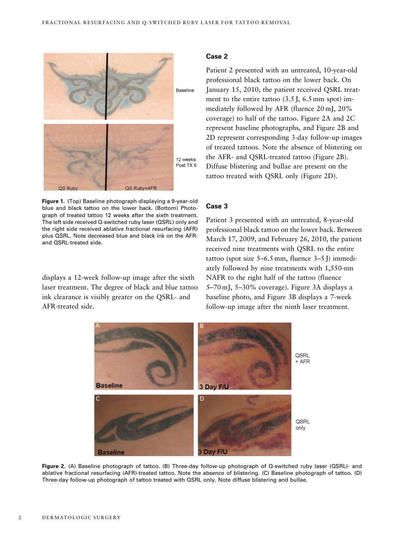

**Figure 1.** (Top) Baseline photograph displaying a 9-year-old blue and black tattoo on the lower back. (Bottom) Photograph of treated tattoo 12 weeks after the sixth treatment. The left side received Q-switched ruby laser (QSRL) only and the right side received ablative fractional resurfacing (AFR) plus QSRL. Note decreased blue and black ink on the AFRand QSRL-treated side.

displays a 12-week follow-up image after the sixth laser treatment. The degree of black and blue tattoo ink clearance is visibly greater on the QSRL- and AFR-treated side.

## **Case 2**

Patient 2 presented with an untreated, 10-year-old professional black tattoo on the lower back. On January 15, 2010, the patient received QSRL treatment to the entire tattoo  $(3.5 \text{ J}, 6.5 \text{ mm} \text{ spot})$  immediately followed by AFR (fluence 20 mJ, 20% coverage) to half of the tattoo. Figure 2A and 2C represent baseline photographs, and Figure 2B and 2D represent corresponding 3-day follow-up images of treated tattoos. Note the absence of blistering on the AFR- and QSRL-treated tattoo (Figure 2B). Diffuse blistering and bullae are present on the tattoo treated with QSRL only (Figure 2D).

#### **Case 3**

Patient 3 presented with an untreated, 8-year-old professional black tattoo on the lower back. Between March 17, 2009, and February 26, 2010, the patient received nine treatments with QSRL to the entire tattoo (spot size 5–6.5 mm, fluence 3–5 J) immediately followed by nine treatments with 1,550-nm NAFR to the right half of the tattoo (fluence 5–70 mJ, 5–30% coverage). Figure 3A displays a baseline photo, and Figure 3B displays a 7-week follow-up image after the ninth laser treatment.



**Figure 2.** (A) Baseline photograph of tattoo. (B) Three-day follow-up photograph of Q-switched ruby laser (QSRL)- and ablative fractional resurfacing (AFR)-treated tattoo. Note the absence of blistering. (C) Baseline photograph of tattoo. (D) Three-day follow-up photograph of tattoo treated with QSRL only. Note diffuse blistering and bullae.